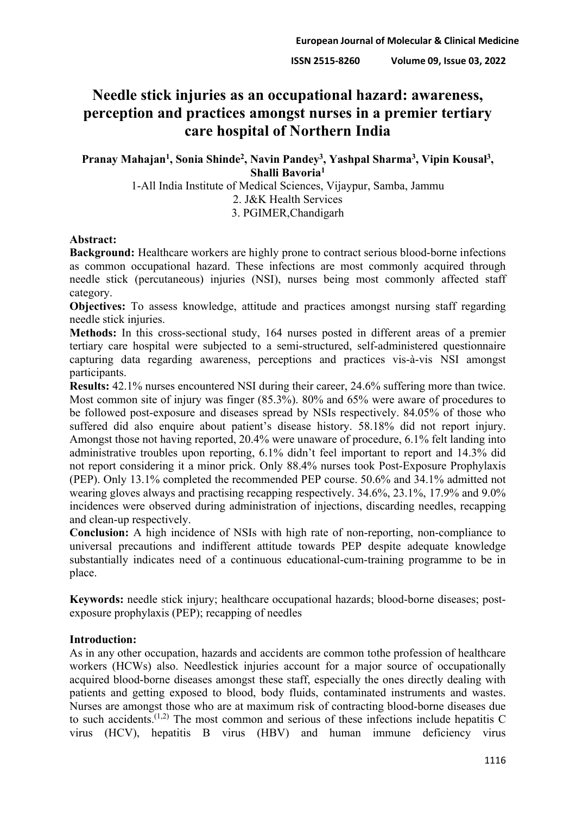# **Needle stick injuries as an occupational hazard: awareness, perception and practices amongst nurses in a premier tertiary care hospital of Northern India**

**Pranay Mahajan1, Sonia Shinde2, Navin Pandey3, Yashpal Sharma3, Vipin Kousal3, Shalli Bavoria1**

1-All India Institute of Medical Sciences, Vijaypur, Samba, Jammu 2. J&K Health Services 3. PGIMER,Chandigarh

## **Abstract:**

**Background:** Healthcare workers are highly prone to contract serious blood-borne infections as common occupational hazard. These infections are most commonly acquired through needle stick (percutaneous) injuries (NSI), nurses being most commonly affected staff category.

**Objectives:** To assess knowledge, attitude and practices amongst nursing staff regarding needle stick injuries.

**Methods:** In this cross-sectional study, 164 nurses posted in different areas of a premier tertiary care hospital were subjected to a semi-structured, self-administered questionnaire capturing data regarding awareness, perceptions and practices vis-à-vis NSI amongst participants.

**Results:** 42.1% nurses encountered NSI during their career, 24.6% suffering more than twice. Most common site of injury was finger (85.3%). 80% and 65% were aware of procedures to be followed post-exposure and diseases spread by NSIs respectively. 84.05% of those who suffered did also enquire about patient's disease history. 58.18% did not report injury. Amongst those not having reported, 20.4% were unaware of procedure, 6.1% felt landing into administrative troubles upon reporting, 6.1% didn't feel important to report and 14.3% did not report considering it a minor prick. Only 88.4% nurses took Post-Exposure Prophylaxis (PEP). Only 13.1% completed the recommended PEP course. 50.6% and 34.1% admitted not wearing gloves always and practising recapping respectively. 34.6%, 23.1%, 17.9% and 9.0% incidences were observed during administration of injections, discarding needles, recapping and clean-up respectively.

**Conclusion:** A high incidence of NSIs with high rate of non-reporting, non-compliance to universal precautions and indifferent attitude towards PEP despite adequate knowledge substantially indicates need of a continuous educational-cum-training programme to be in place.

**Keywords:** needle stick injury; healthcare occupational hazards; blood-borne diseases; postexposure prophylaxis (PEP); recapping of needles

## **Introduction:**

As in any other occupation, hazards and accidents are common tothe profession of healthcare workers (HCWs) also. Needlestick injuries account for a major source of occupationally acquired blood-borne diseases amongst these staff, especially the ones directly dealing with patients and getting exposed to blood, body fluids, contaminated instruments and wastes. Nurses are amongst those who are at maximum risk of contracting blood-borne diseases due to such accidents.<sup> $(1,2)$ </sup> The most common and serious of these infections include hepatitis C virus (HCV), hepatitis B virus (HBV) and human immune deficiency virus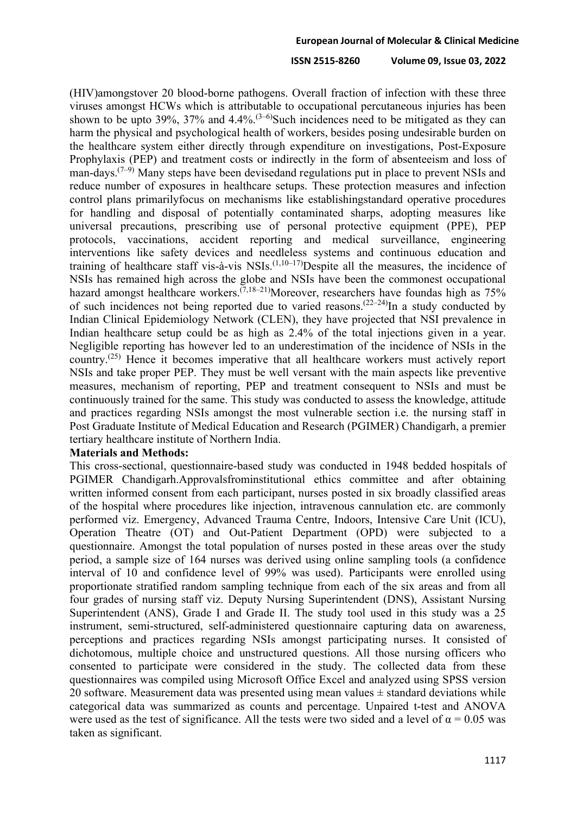#### **ISSN 2515-8260 Volume 09, Issue 03, 2022**

(HIV)amongstover 20 blood-borne pathogens. Overall fraction of infection with these three viruses amongst HCWs which is attributable to occupational percutaneous injuries has been shown to be upto 39%, 37% and  $4.4\%$ .<sup>(3–6)</sup>Such incidences need to be mitigated as they can harm the physical and psychological health of workers, besides posing undesirable burden on the healthcare system either directly through expenditure on investigations, Post-Exposure Prophylaxis (PEP) and treatment costs or indirectly in the form of absenteeism and loss of man-days. $(7-9)$  Many steps have been devisedand regulations put in place to prevent NSIs and reduce number of exposures in healthcare setups. These protection measures and infection control plans primarilyfocus on mechanisms like establishingstandard operative procedures for handling and disposal of potentially contaminated sharps, adopting measures like universal precautions, prescribing use of personal protective equipment (PPE), PEP protocols, vaccinations, accident reporting and medical surveillance, engineering interventions like safety devices and needleless systems and continuous education and training of healthcare staff vis-à-vis NSIs.<sup> $(1,10-17)$ </sup>Despite all the measures, the incidence of NSIs has remained high across the globe and NSIs have been the commonest occupational hazard amongst healthcare workers.<sup> $(7,18-21)$ </sup>Moreover, researchers have foundas high as 75% of such incidences not being reported due to varied reasons.<sup> $(22-24)$ </sup>In a study conducted by Indian Clinical Epidemiology Network (CLEN), they have projected that NSI prevalence in Indian healthcare setup could be as high as 2.4% of the total injections given in a year. Negligible reporting has however led to an underestimation of the incidence of NSIs in the country.(25) Hence it becomes imperative that all healthcare workers must actively report NSIs and take proper PEP. They must be well versant with the main aspects like preventive measures, mechanism of reporting, PEP and treatment consequent to NSIs and must be continuously trained for the same. This study was conducted to assess the knowledge, attitude and practices regarding NSIs amongst the most vulnerable section i.e. the nursing staff in Post Graduate Institute of Medical Education and Research (PGIMER) Chandigarh, a premier tertiary healthcare institute of Northern India.

## **Materials and Methods:**

This cross-sectional, questionnaire-based study was conducted in 1948 bedded hospitals of PGIMER Chandigarh.Approvalsfrominstitutional ethics committee and after obtaining written informed consent from each participant, nurses posted in six broadly classified areas of the hospital where procedures like injection, intravenous cannulation etc. are commonly performed viz. Emergency, Advanced Trauma Centre, Indoors, Intensive Care Unit (ICU), Operation Theatre (OT) and Out-Patient Department (OPD) were subjected to a questionnaire. Amongst the total population of nurses posted in these areas over the study period, a sample size of 164 nurses was derived using online sampling tools (a confidence interval of 10 and confidence level of 99% was used). Participants were enrolled using proportionate stratified random sampling technique from each of the six areas and from all four grades of nursing staff viz. Deputy Nursing Superintendent (DNS), Assistant Nursing Superintendent (ANS), Grade I and Grade II. The study tool used in this study was a 25 instrument, semi-structured, self-administered questionnaire capturing data on awareness, perceptions and practices regarding NSIs amongst participating nurses. It consisted of dichotomous, multiple choice and unstructured questions. All those nursing officers who consented to participate were considered in the study. The collected data from these questionnaires was compiled using Microsoft Office Excel and analyzed using SPSS version 20 software. Measurement data was presented using mean values  $\pm$  standard deviations while categorical data was summarized as counts and percentage. Unpaired t-test and ANOVA were used as the test of significance. All the tests were two sided and a level of  $\alpha = 0.05$  was taken as significant.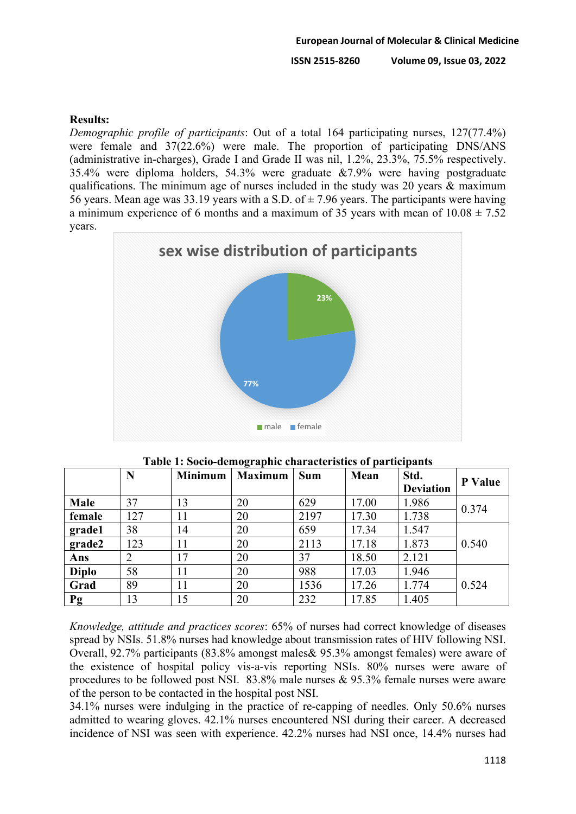# **Results:**

*Demographic profile of participants*: Out of a total 164 participating nurses, 127(77.4%) were female and 37(22.6%) were male. The proportion of participating DNS/ANS (administrative in-charges), Grade I and Grade II was nil, 1.2%, 23.3%, 75.5% respectively. 35.4% were diploma holders, 54.3% were graduate &7.9% were having postgraduate qualifications. The minimum age of nurses included in the study was 20 years & maximum 56 years. Mean age was 33.19 years with a S.D. of  $\pm$  7.96 years. The participants were having a minimum experience of 6 months and a maximum of 35 years with mean of  $10.08 \pm 7.52$ years.



|              | N              | <b>Minimum</b> | <b>Maximum</b> | <b>Sum</b> | Mean  | Std.             | P Value |
|--------------|----------------|----------------|----------------|------------|-------|------------------|---------|
|              |                |                |                |            |       | <b>Deviation</b> |         |
| Male         | 37             | 13             | 20             | 629        | 17.00 | 1.986            | 0.374   |
| female       | 127            | 11             | 20             | 2197       | 17.30 | 1.738            |         |
| grade1       | 38             | 14             | 20             | 659        | 17.34 | 1.547            |         |
| grade2       | 123            | 11             | 20             | 2113       | 17.18 | 1.873            | 0.540   |
| Ans          | $\overline{2}$ | 17             | 20             | 37         | 18.50 | 2.121            |         |
| <b>Diplo</b> | 58             | 11             | 20             | 988        | 17.03 | 1.946            |         |
| Grad         | 89             | 11             | 20             | 1536       | 17.26 | 1.774            | 0.524   |
| Pg           | 13             | 15             | 20             | 232        | 17.85 | 1.405            |         |

**Table 1: Socio-demographic characteristics of participants**

*Knowledge, attitude and practices scores*: 65% of nurses had correct knowledge of diseases spread by NSIs. 51.8% nurses had knowledge about transmission rates of HIV following NSI. Overall, 92.7% participants (83.8% amongst males& 95.3% amongst females) were aware of the existence of hospital policy vis-a-vis reporting NSIs. 80% nurses were aware of procedures to be followed post NSI. 83.8% male nurses & 95.3% female nurses were aware of the person to be contacted in the hospital post NSI.

34.1% nurses were indulging in the practice of re-capping of needles. Only 50.6% nurses admitted to wearing gloves. 42.1% nurses encountered NSI during their career. A decreased incidence of NSI was seen with experience. 42.2% nurses had NSI once, 14.4% nurses had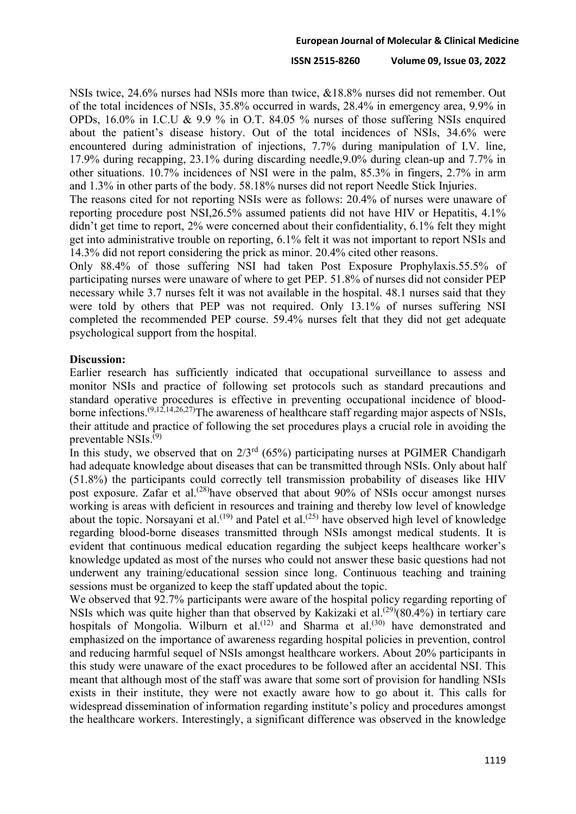## **ISSN 2515-8260 Volume 09, Issue 03, 2022**

NSIs twice, 24.6% nurses had NSIs more than twice, &18.8% nurses did not remember. Out of the total incidences of NSIs, 35.8% occurred in wards, 28.4% in emergency area, 9.9% in OPDs, 16.0% in I.C.U & 9.9 % in O.T. 84.05 % nurses of those suffering NSIs enquired about the patient's disease history. Out of the total incidences of NSIs, 34.6% were encountered during administration of injections, 7.7% during manipulation of I.V. line, 17.9% during recapping, 23.1% during discarding needle,9.0% during clean-up and 7.7% in other situations. 10.7% incidences of NSI were in the palm, 85.3% in fingers, 2.7% in arm and 1.3% in other parts of the body. 58.18% nurses did not report Needle Stick Injuries.

The reasons cited for not reporting NSIs were as follows: 20.4% of nurses were unaware of reporting procedure post NSI,26.5% assumed patients did not have HIV or Hepatitis, 4.1% didn't get time to report, 2% were concerned about their confidentiality, 6.1% felt they might get into administrative trouble on reporting, 6.1% felt it was not important to report NSIs and 14.3% did not report considering the prick as minor. 20.4% cited other reasons.

Only 88.4% of those suffering NSI had taken Post Exposure Prophylaxis.55.5% of participating nurses were unaware of where to get PEP. 51.8% of nurses did not consider PEP necessary while 3.7 nurses felt it was not available in the hospital. 48.1 nurses said that they were told by others that PEP was not required. Only 13.1% of nurses suffering NSI completed the recommended PEP course. 59.4% nurses felt that they did not get adequate psychological support from the hospital.

# **Discussion:**

Earlier research has sufficiently indicated that occupational surveillance to assess and monitor NSIs and practice of following set protocols such as standard precautions and standard operative procedures is effective in preventing occupational incidence of bloodborne infections.<sup> $(9,12,14,26,27)$ </sup>The awareness of healthcare staff regarding major aspects of NSIs, their attitude and practice of following the set procedures plays a crucial role in avoiding the preventable NSIs.(9)

In this study, we observed that on  $2/3^{rd}$  (65%) participating nurses at PGIMER Chandigarh had adequate knowledge about diseases that can be transmitted through NSIs. Only about half (51.8%) the participants could correctly tell transmission probability of diseases like HIV post exposure. Zafar et al.<sup>(28)</sup>have observed that about 90% of NSIs occur amongst nurses working is areas with deficient in resources and training and thereby low level of knowledge about the topic. Norsayani et al.<sup>(19)</sup> and Patel et al.<sup>(25)</sup> have observed high level of knowledge regarding blood-borne diseases transmitted through NSIs amongst medical students. It is evident that continuous medical education regarding the subject keeps healthcare worker's knowledge updated as most of the nurses who could not answer these basic questions had not underwent any training/educational session since long. Continuous teaching and training sessions must be organized to keep the staff updated about the topic.

We observed that 92.7% participants were aware of the hospital policy regarding reporting of NSIs which was quite higher than that observed by Kakizaki et al.<sup> $(29)$ </sup> $(80.4%)$  in tertiary care hospitals of Mongolia. Wilburn et al.<sup>(12)</sup> and Sharma et al.<sup>(30)</sup> have demonstrated and emphasized on the importance of awareness regarding hospital policies in prevention, control and reducing harmful sequel of NSIs amongst healthcare workers. About 20% participants in this study were unaware of the exact procedures to be followed after an accidental NSI. This meant that although most of the staff was aware that some sort of provision for handling NSIs exists in their institute, they were not exactly aware how to go about it. This calls for widespread dissemination of information regarding institute's policy and procedures amongst the healthcare workers. Interestingly, a significant difference was observed in the knowledge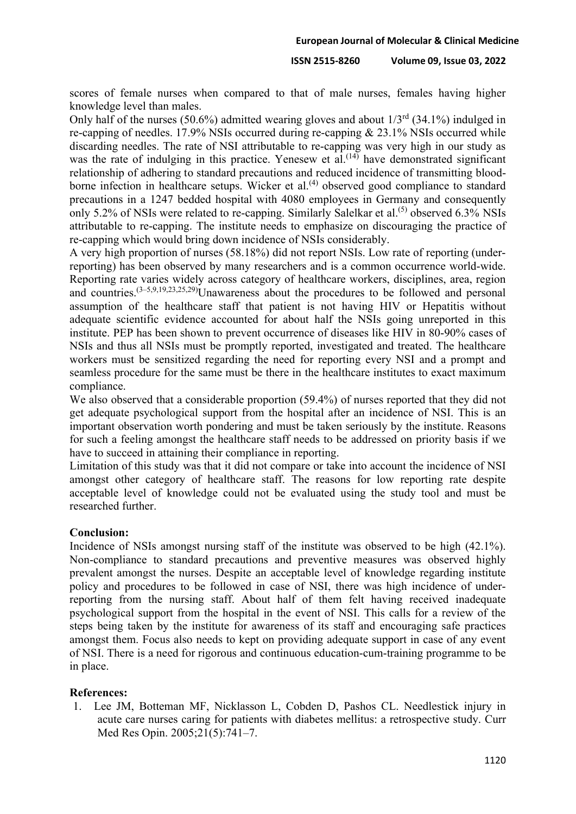scores of female nurses when compared to that of male nurses, females having higher knowledge level than males.

Only half of the nurses (50.6%) admitted wearing gloves and about  $1/3^{rd}$  (34.1%) indulged in re-capping of needles. 17.9% NSIs occurred during re-capping & 23.1% NSIs occurred while discarding needles. The rate of NSI attributable to re-capping was very high in our study as was the rate of indulging in this practice. Yenesew et  $al^{(14)}$  have demonstrated significant relationship of adhering to standard precautions and reduced incidence of transmitting bloodborne infection in healthcare setups. Wicker et al.<sup> $(4)$ </sup> observed good compliance to standard precautions in a 1247 bedded hospital with 4080 employees in Germany and consequently only 5.2% of NSIs were related to re-capping. Similarly Salelkar et al.<sup>(5)</sup> observed 6.3% NSIs attributable to re-capping. The institute needs to emphasize on discouraging the practice of re-capping which would bring down incidence of NSIs considerably.

A very high proportion of nurses (58.18%) did not report NSIs. Low rate of reporting (underreporting) has been observed by many researchers and is a common occurrence world-wide. Reporting rate varies widely across category of healthcare workers, disciplines, area, region and countries.  $(3-5,9,19,23,25,29)$ Unawareness about the procedures to be followed and personal assumption of the healthcare staff that patient is not having HIV or Hepatitis without adequate scientific evidence accounted for about half the NSIs going unreported in this institute. PEP has been shown to prevent occurrence of diseases like HIV in 80-90% cases of NSIs and thus all NSIs must be promptly reported, investigated and treated. The healthcare workers must be sensitized regarding the need for reporting every NSI and a prompt and seamless procedure for the same must be there in the healthcare institutes to exact maximum compliance.

We also observed that a considerable proportion (59.4%) of nurses reported that they did not get adequate psychological support from the hospital after an incidence of NSI. This is an important observation worth pondering and must be taken seriously by the institute. Reasons for such a feeling amongst the healthcare staff needs to be addressed on priority basis if we have to succeed in attaining their compliance in reporting.

Limitation of this study was that it did not compare or take into account the incidence of NSI amongst other category of healthcare staff. The reasons for low reporting rate despite acceptable level of knowledge could not be evaluated using the study tool and must be researched further.

## **Conclusion:**

Incidence of NSIs amongst nursing staff of the institute was observed to be high (42.1%). Non-compliance to standard precautions and preventive measures was observed highly prevalent amongst the nurses. Despite an acceptable level of knowledge regarding institute policy and procedures to be followed in case of NSI, there was high incidence of underreporting from the nursing staff. About half of them felt having received inadequate psychological support from the hospital in the event of NSI. This calls for a review of the steps being taken by the institute for awareness of its staff and encouraging safe practices amongst them. Focus also needs to kept on providing adequate support in case of any event of NSI. There is a need for rigorous and continuous education-cum-training programme to be in place.

## **References:**

1. Lee JM, Botteman MF, Nicklasson L, Cobden D, Pashos CL. Needlestick injury in acute care nurses caring for patients with diabetes mellitus: a retrospective study. Curr Med Res Opin. 2005;21(5):741–7.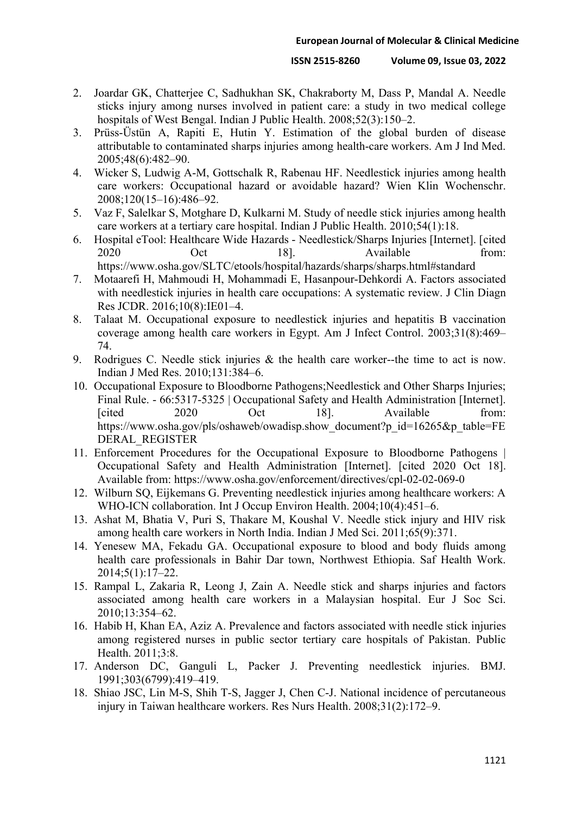- 2. Joardar GK, Chatterjee C, Sadhukhan SK, Chakraborty M, Dass P, Mandal A. Needle sticks injury among nurses involved in patient care: a study in two medical college hospitals of West Bengal. Indian J Public Health. 2008;52(3):150–2.
- 3. Prüss-Üstün A, Rapiti E, Hutin Y. Estimation of the global burden of disease attributable to contaminated sharps injuries among health-care workers. Am J Ind Med. 2005;48(6):482–90.
- 4. Wicker S, Ludwig A-M, Gottschalk R, Rabenau HF. Needlestick injuries among health care workers: Occupational hazard or avoidable hazard? Wien Klin Wochenschr. 2008;120(15–16):486–92.
- 5. Vaz F, Salelkar S, Motghare D, Kulkarni M. Study of needle stick injuries among health care workers at a tertiary care hospital. Indian J Public Health. 2010;54(1):18.
- 6. Hospital eTool: Healthcare Wide Hazards Needlestick/Sharps Injuries [Internet]. [cited 2020 Oct 18]. Available from: https://www.osha.gov/SLTC/etools/hospital/hazards/sharps/sharps.html#standard
- 7. Motaarefi H, Mahmoudi H, Mohammadi E, Hasanpour-Dehkordi A. Factors associated with needlestick injuries in health care occupations: A systematic review. J Clin Diagn Res JCDR. 2016;10(8):IE01–4.
- 8. Talaat M. Occupational exposure to needlestick injuries and hepatitis B vaccination coverage among health care workers in Egypt. Am J Infect Control. 2003;31(8):469– 74.
- 9. Rodrigues C. Needle stick injuries & the health care worker--the time to act is now. Indian J Med Res. 2010;131:384–6.
- 10. Occupational Exposure to Bloodborne Pathogens;Needlestick and Other Sharps Injuries; Final Rule. - 66:5317-5325 | Occupational Safety and Health Administration [Internet]. [cited 2020 Oct 18]. Available from: https://www.osha.gov/pls/oshaweb/owadisp.show\_document?p\_id=16265&p\_table=FE DERAL\_REGISTER
- 11. Enforcement Procedures for the Occupational Exposure to Bloodborne Pathogens | Occupational Safety and Health Administration [Internet]. [cited 2020 Oct 18]. Available from: https://www.osha.gov/enforcement/directives/cpl-02-02-069-0
- 12. Wilburn SQ, Eijkemans G. Preventing needlestick injuries among healthcare workers: A WHO-ICN collaboration. Int J Occup Environ Health. 2004;10(4):451–6.
- 13. Ashat M, Bhatia V, Puri S, Thakare M, Koushal V. Needle stick injury and HIV risk among health care workers in North India. Indian J Med Sci. 2011;65(9):371.
- 14. Yenesew MA, Fekadu GA. Occupational exposure to blood and body fluids among health care professionals in Bahir Dar town, Northwest Ethiopia. Saf Health Work. 2014;5(1):17–22.
- 15. Rampal L, Zakaria R, Leong J, Zain A. Needle stick and sharps injuries and factors associated among health care workers in a Malaysian hospital. Eur J Soc Sci. 2010;13:354–62.
- 16. Habib H, Khan EA, Aziz A. Prevalence and factors associated with needle stick injuries among registered nurses in public sector tertiary care hospitals of Pakistan. Public Health. 2011;3:8.
- 17. Anderson DC, Ganguli L, Packer J. Preventing needlestick injuries. BMJ. 1991;303(6799):419–419.
- 18. Shiao JSC, Lin M-S, Shih T-S, Jagger J, Chen C-J. National incidence of percutaneous injury in Taiwan healthcare workers. Res Nurs Health. 2008;31(2):172–9.